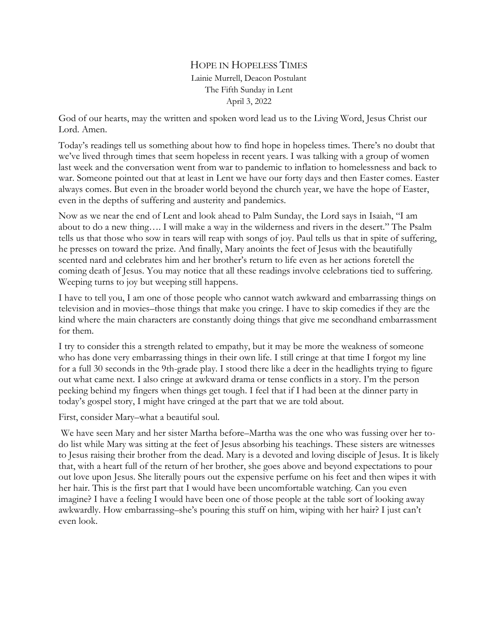## HOPE IN HOPELESS TIMES Lainie Murrell, Deacon Postulant The Fifth Sunday in Lent April 3, 2022

God of our hearts, may the written and spoken word lead us to the Living Word, Jesus Christ our Lord. Amen.

Today's readings tell us something about how to find hope in hopeless times. There's no doubt that we've lived through times that seem hopeless in recent years. I was talking with a group of women last week and the conversation went from war to pandemic to inflation to homelessness and back to war. Someone pointed out that at least in Lent we have our forty days and then Easter comes. Easter always comes. But even in the broader world beyond the church year, we have the hope of Easter, even in the depths of suffering and austerity and pandemics.

Now as we near the end of Lent and look ahead to Palm Sunday, the Lord says in Isaiah, "I am about to do a new thing…. I will make a way in the wilderness and rivers in the desert." The Psalm tells us that those who sow in tears will reap with songs of joy. Paul tells us that in spite of suffering, he presses on toward the prize. And finally, Mary anoints the feet of Jesus with the beautifully scented nard and celebrates him and her brother's return to life even as her actions foretell the coming death of Jesus. You may notice that all these readings involve celebrations tied to suffering. Weeping turns to joy but weeping still happens.

I have to tell you, I am one of those people who cannot watch awkward and embarrassing things on television and in movies–those things that make you cringe. I have to skip comedies if they are the kind where the main characters are constantly doing things that give me secondhand embarrassment for them.

I try to consider this a strength related to empathy, but it may be more the weakness of someone who has done very embarrassing things in their own life. I still cringe at that time I forgot my line for a full 30 seconds in the 9th-grade play. I stood there like a deer in the headlights trying to figure out what came next. I also cringe at awkward drama or tense conflicts in a story. I'm the person peeking behind my fingers when things get tough. I feel that if I had been at the dinner party in today's gospel story, I might have cringed at the part that we are told about.

First, consider Mary–what a beautiful soul.

We have seen Mary and her sister Martha before–Martha was the one who was fussing over her todo list while Mary was sitting at the feet of Jesus absorbing his teachings. These sisters are witnesses to Jesus raising their brother from the dead. Mary is a devoted and loving disciple of Jesus. It is likely that, with a heart full of the return of her brother, she goes above and beyond expectations to pour out love upon Jesus. She literally pours out the expensive perfume on his feet and then wipes it with her hair. This is the first part that I would have been uncomfortable watching. Can you even imagine? I have a feeling I would have been one of those people at the table sort of looking away awkwardly. How embarrassing–she's pouring this stuff on him, wiping with her hair? I just can't even look.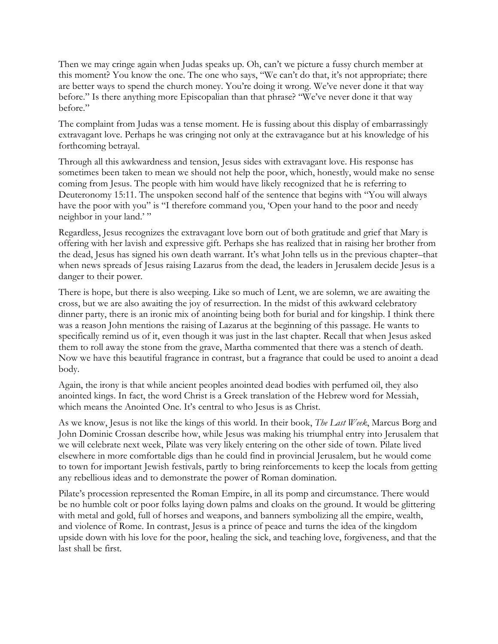Then we may cringe again when Judas speaks up. Oh, can't we picture a fussy church member at this moment? You know the one. The one who says, "We can't do that, it's not appropriate; there are better ways to spend the church money. You're doing it wrong. We've never done it that way before." Is there anything more Episcopalian than that phrase? "We've never done it that way before."

The complaint from Judas was a tense moment. He is fussing about this display of embarrassingly extravagant love. Perhaps he was cringing not only at the extravagance but at his knowledge of his forthcoming betrayal.

Through all this awkwardness and tension, Jesus sides with extravagant love. His response has sometimes been taken to mean we should not help the poor, which, honestly, would make no sense coming from Jesus. The people with him would have likely recognized that he is referring to Deuteronomy 15:11. The unspoken second half of the sentence that begins with "You will always have the poor with you" is "I therefore command you, 'Open your hand to the poor and needy neighbor in your land.'"

Regardless, Jesus recognizes the extravagant love born out of both gratitude and grief that Mary is offering with her lavish and expressive gift. Perhaps she has realized that in raising her brother from the dead, Jesus has signed his own death warrant. It's what John tells us in the previous chapter–that when news spreads of Jesus raising Lazarus from the dead, the leaders in Jerusalem decide Jesus is a danger to their power.

There is hope, but there is also weeping. Like so much of Lent, we are solemn, we are awaiting the cross, but we are also awaiting the joy of resurrection. In the midst of this awkward celebratory dinner party, there is an ironic mix of anointing being both for burial and for kingship. I think there was a reason John mentions the raising of Lazarus at the beginning of this passage. He wants to specifically remind us of it, even though it was just in the last chapter. Recall that when Jesus asked them to roll away the stone from the grave, Martha commented that there was a stench of death. Now we have this beautiful fragrance in contrast, but a fragrance that could be used to anoint a dead body.

Again, the irony is that while ancient peoples anointed dead bodies with perfumed oil, they also anointed kings. In fact, the word Christ is a Greek translation of the Hebrew word for Messiah, which means the Anointed One. It's central to who Jesus is as Christ.

As we know, Jesus is not like the kings of this world. In their book, *The Last Week*, Marcus Borg and John Dominic Crossan describe how, while Jesus was making his triumphal entry into Jerusalem that we will celebrate next week, Pilate was very likely entering on the other side of town. Pilate lived elsewhere in more comfortable digs than he could find in provincial Jerusalem, but he would come to town for important Jewish festivals, partly to bring reinforcements to keep the locals from getting any rebellious ideas and to demonstrate the power of Roman domination.

Pilate's procession represented the Roman Empire, in all its pomp and circumstance. There would be no humble colt or poor folks laying down palms and cloaks on the ground. It would be glittering with metal and gold, full of horses and weapons, and banners symbolizing all the empire, wealth, and violence of Rome. In contrast, Jesus is a prince of peace and turns the idea of the kingdom upside down with his love for the poor, healing the sick, and teaching love, forgiveness, and that the last shall be first.